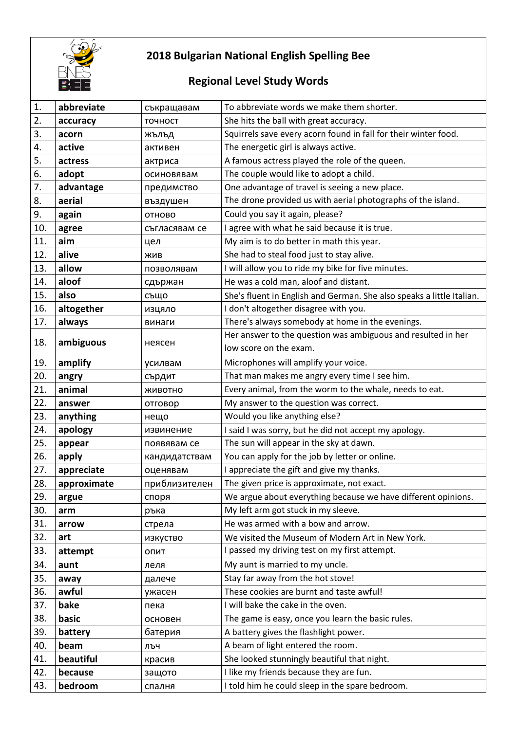

## **2018 Bulgarian National English Spelling Bee**

## **Regional Level Study Words**

| 1.  | abbreviate  | съкращавам    | To abbreviate words we make them shorter.                             |
|-----|-------------|---------------|-----------------------------------------------------------------------|
| 2.  | accuracy    | точност       | She hits the ball with great accuracy.                                |
| 3.  | acorn       | жълъд         | Squirrels save every acorn found in fall for their winter food.       |
| 4.  | active      | активен       | The energetic girl is always active.                                  |
| 5.  | actress     | актриса       | A famous actress played the role of the queen.                        |
| 6.  | adopt       | осиновявам    | The couple would like to adopt a child.                               |
| 7.  | advantage   | предимство    | One advantage of travel is seeing a new place.                        |
| 8.  | aerial      | въздушен      | The drone provided us with aerial photographs of the island.          |
| 9.  | again       | ОТНОВО        | Could you say it again, please?                                       |
| 10. | agree       | съгласявам се | I agree with what he said because it is true.                         |
| 11. | aim         | цел           | My aim is to do better in math this year.                             |
| 12. | alive       | ЖИВ           | She had to steal food just to stay alive.                             |
| 13. | allow       | позволявам    | I will allow you to ride my bike for five minutes.                    |
| 14. | aloof       | сдържан       | He was a cold man, aloof and distant.                                 |
| 15. | also        | също          | She's fluent in English and German. She also speaks a little Italian. |
| 16. | altogether  | изцяло        | I don't altogether disagree with you.                                 |
| 17. | always      | винаги        | There's always somebody at home in the evenings.                      |
| 18. | ambiguous   | неясен        | Her answer to the question was ambiguous and resulted in her          |
|     |             |               | low score on the exam.                                                |
| 19. | amplify     | усилвам       | Microphones will amplify your voice.                                  |
| 20. | angry       | сърдит        | That man makes me angry every time I see him.                         |
| 21. | animal      | ЖИВОТНО       | Every animal, from the worm to the whale, needs to eat.               |
| 22. | answer      | отговор       | My answer to the question was correct.                                |
| 23. | anything    | нещо          | Would you like anything else?                                         |
| 24. | apology     | извинение     | I said I was sorry, but he did not accept my apology.                 |
| 25. | appear      | появявам се   | The sun will appear in the sky at dawn.                               |
| 26. | apply       | кандидатствам | You can apply for the job by letter or online.                        |
| 27. | appreciate  | оценявам      | I appreciate the gift and give my thanks.                             |
| 28. | approximate | приблизителен | The given price is approximate, not exact.                            |
| 29. | argue       | споря         | We argue about everything because we have different opinions.         |
| 30. | arm         | ръка          | My left arm got stuck in my sleeve.                                   |
| 31. | arrow       | стрела        | He was armed with a bow and arrow.                                    |
| 32. | art         | изкуство      | We visited the Museum of Modern Art in New York.                      |
| 33. | attempt     | ОПИТ          | I passed my driving test on my first attempt.                         |
| 34. | aunt        | леля          | My aunt is married to my uncle.                                       |
| 35. | away        | далече        | Stay far away from the hot stove!                                     |
| 36. | awful       | ужасен        | These cookies are burnt and taste awful!                              |
| 37. | bake        | пека          | I will bake the cake in the oven.                                     |
| 38. | basic       | основен       | The game is easy, once you learn the basic rules.                     |
| 39. | battery     | батерия       | A battery gives the flashlight power.                                 |
| 40. | beam        | ЛЪЧ           | A beam of light entered the room.                                     |
| 41. | beautiful   | красив        | She looked stunningly beautiful that night.                           |
| 42. | because     | защото        | I like my friends because they are fun.                               |
| 43. | bedroom     | спалня        | I told him he could sleep in the spare bedroom.                       |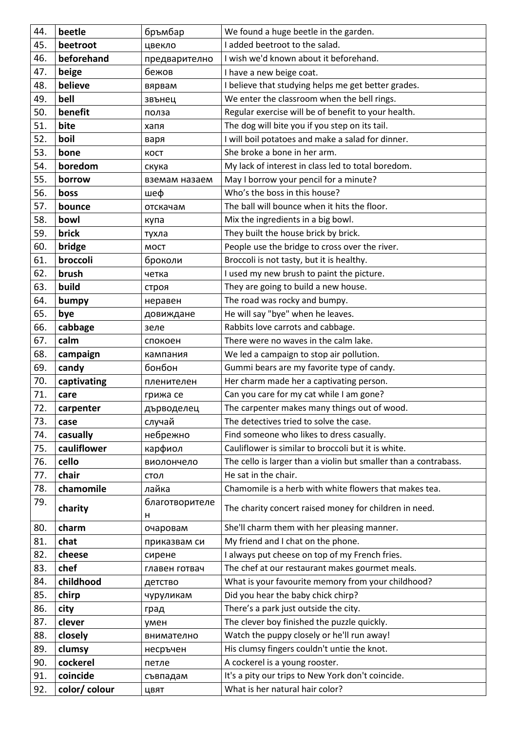| 44. | beetle        | бръмбар             | We found a huge beetle in the garden.                            |
|-----|---------------|---------------------|------------------------------------------------------------------|
| 45. | beetroot      | цвекло              | I added beetroot to the salad.                                   |
| 46. | beforehand    | предварително       | I wish we'd known about it beforehand.                           |
| 47. | beige         | бежов               | I have a new beige coat.                                         |
| 48. | believe       | вярвам              | I believe that studying helps me get better grades.              |
| 49. | bell          | звънец              | We enter the classroom when the bell rings.                      |
| 50. | benefit       | полза               | Regular exercise will be of benefit to your health.              |
| 51. | bite          | хапя                | The dog will bite you if you step on its tail.                   |
| 52. | boil          | варя                | I will boil potatoes and make a salad for dinner.                |
| 53. | bone          | KOCT                | She broke a bone in her arm.                                     |
| 54. | boredom       | скука               | My lack of interest in class led to total boredom.               |
| 55. | borrow        | вземам назаем       | May I borrow your pencil for a minute?                           |
| 56. | boss          | шеф                 | Who's the boss in this house?                                    |
| 57. | bounce        | отскачам            | The ball will bounce when it hits the floor.                     |
| 58. | bowl          | купа                | Mix the ingredients in a big bowl.                               |
| 59. | brick         | тухла               | They built the house brick by brick.                             |
| 60. | bridge        | <b>MOCT</b>         | People use the bridge to cross over the river.                   |
| 61. | broccoli      | броколи             | Broccoli is not tasty, but it is healthy.                        |
| 62. | brush         | четка               | I used my new brush to paint the picture.                        |
| 63. | build         | строя               | They are going to build a new house.                             |
| 64. | bumpy         | неравен             | The road was rocky and bumpy.                                    |
| 65. | bye           | довиждане           | He will say "bye" when he leaves.                                |
| 66. | cabbage       | зеле                | Rabbits love carrots and cabbage.                                |
| 67. | calm          | спокоен             | There were no waves in the calm lake.                            |
| 68. | campaign      | кампания            | We led a campaign to stop air pollution.                         |
| 69. | candy         | бонбон              | Gummi bears are my favorite type of candy.                       |
| 70. | captivating   | пленителен          | Her charm made her a captivating person.                         |
| 71. | care          | грижа се            | Can you care for my cat while I am gone?                         |
| 72. | carpenter     | дърводелец          | The carpenter makes many things out of wood.                     |
| 73. | case          | случай              | The detectives tried to solve the case.                          |
| 74. | casually      | небрежно            | Find someone who likes to dress casually.                        |
| 75. | cauliflower   | карфиол             | Cauliflower is similar to broccoli but it is white.              |
| 76. | cello         | виолончело          | The cello is larger than a violin but smaller than a contrabass. |
| 77. | chair         | стол                | He sat in the chair.                                             |
| 78. | chamomile     | лайка               | Chamomile is a herb with white flowers that makes tea.           |
| 79. | charity       | благотворителе<br>н | The charity concert raised money for children in need.           |
| 80. | charm         | очаровам            | She'll charm them with her pleasing manner.                      |
| 81. | chat          | приказвам си        | My friend and I chat on the phone.                               |
| 82. | cheese        | сирене              | I always put cheese on top of my French fries.                   |
| 83. | chef          | главен готвач       | The chef at our restaurant makes gourmet meals.                  |
| 84. | childhood     | детство             | What is your favourite memory from your childhood?               |
| 85. | chirp         | чуруликам           | Did you hear the baby chick chirp?                               |
| 86. | city          | град                | There's a park just outside the city.                            |
| 87. | clever        | умен                | The clever boy finished the puzzle quickly.                      |
| 88. | closely       | внимателно          | Watch the puppy closely or he'll run away!                       |
| 89. | clumsy        | несръчен            | His clumsy fingers couldn't untie the knot.                      |
| 90. | cockerel      | петле               | A cockerel is a young rooster.                                   |
| 91. | coincide      | съвпадам            | It's a pity our trips to New York don't coincide.                |
| 92. | color/ colour | ЦВЯТ                | What is her natural hair color?                                  |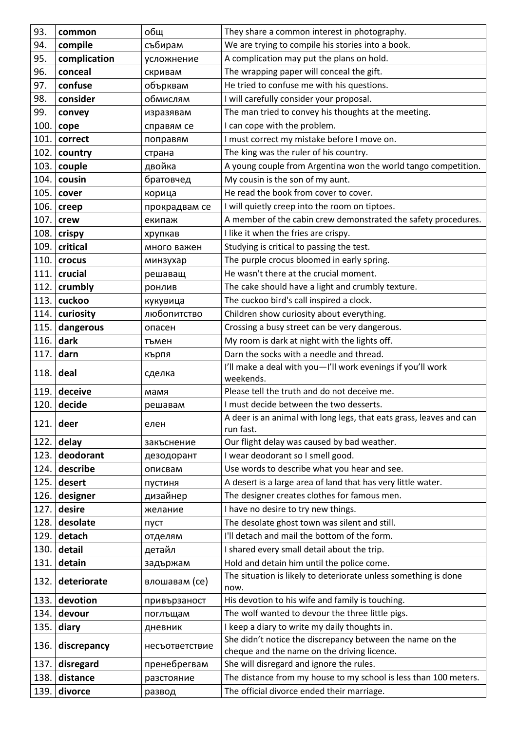| 93.  | common        | общ            | They share a common interest in photography.                                                             |
|------|---------------|----------------|----------------------------------------------------------------------------------------------------------|
| 94.  | compile       | събирам        | We are trying to compile his stories into a book.                                                        |
| 95.  | complication  | усложнение     | A complication may put the plans on hold.                                                                |
| 96.  | conceal       | скривам        | The wrapping paper will conceal the gift.                                                                |
| 97.  | confuse       | обърквам       | He tried to confuse me with his questions.                                                               |
| 98.  | consider      | обмислям       | I will carefully consider your proposal.                                                                 |
| 99.  | convey        | изразявам      | The man tried to convey his thoughts at the meeting.                                                     |
| 100. | cope          | справям се     | I can cope with the problem.                                                                             |
| 101. | correct       | поправям       | I must correct my mistake before I move on.                                                              |
| 102. | country       | страна         | The king was the ruler of his country.                                                                   |
| 103. | couple        | двойка         | A young couple from Argentina won the world tango competition.                                           |
| 104. | cousin        | братовчед      | My cousin is the son of my aunt.                                                                         |
| 105. | cover         | корица         | He read the book from cover to cover.                                                                    |
| 106. |               | прокрадвам се  | I will quietly creep into the room on tiptoes.                                                           |
| 107. | creep<br>crew | екипаж         | A member of the cabin crew demonstrated the safety procedures.                                           |
| 108. | crispy        | хрупкав        | I like it when the fries are crispy.                                                                     |
| 109. | critical      | много важен    | Studying is critical to passing the test.                                                                |
| 110. | crocus        | минзухар       | The purple crocus bloomed in early spring.                                                               |
| 111. | crucial       | решаващ        | He wasn't there at the crucial moment.                                                                   |
| 112. | crumbly       | ронлив         | The cake should have a light and crumbly texture.                                                        |
| 113. | cuckoo        | кукувица       | The cuckoo bird's call inspired a clock.                                                                 |
| 114. | curiosity     | любопитство    | Children show curiosity about everything.                                                                |
| 115. | dangerous     | опасен         | Crossing a busy street can be very dangerous.                                                            |
| 116. | dark          | тъмен          | My room is dark at night with the lights off.                                                            |
| 117. | darn          | кърпя          | Darn the socks with a needle and thread.                                                                 |
|      |               |                |                                                                                                          |
| 118. | deal          | сделка         | I'll make a deal with you-I'll work evenings if you'll work<br>weekends.                                 |
| 119. | deceive       | мамя           | Please tell the truth and do not deceive me.                                                             |
| 120. | decide        | решавам        | I must decide between the two desserts.                                                                  |
| 121. | deer          | елен           | A deer is an animal with long legs, that eats grass, leaves and can<br>run fast.                         |
| 122. | delay         | закъснение     | Our flight delay was caused by bad weather.                                                              |
| 123. | deodorant     | дезодорант     | I wear deodorant so I smell good.                                                                        |
| 124. | describe      | описвам        | Use words to describe what you hear and see.                                                             |
| 125. | desert        | пустиня        | A desert is a large area of land that has very little water.                                             |
| 126. | designer      | дизайнер       | The designer creates clothes for famous men.                                                             |
| 127. | desire        | желание        | I have no desire to try new things.                                                                      |
| 128. | desolate      | пуст           | The desolate ghost town was silent and still.                                                            |
| 129. | detach        | отделям        | I'll detach and mail the bottom of the form.                                                             |
| 130. | detail        | детайл         | I shared every small detail about the trip.                                                              |
| 131. | detain        | задържам       | Hold and detain him until the police come.                                                               |
| 132. | deteriorate   | влошавам (се)  | The situation is likely to deteriorate unless something is done<br>now.                                  |
| 133. | devotion      | привързаност   | His devotion to his wife and family is touching.                                                         |
| 134. | devour        | поглъщам       | The wolf wanted to devour the three little pigs.                                                         |
| 135. | diary         | дневник        | I keep a diary to write my daily thoughts in.                                                            |
| 136. | discrepancy   | несъответствие | She didn't notice the discrepancy between the name on the<br>cheque and the name on the driving licence. |
| 137. | disregard     | пренебрегвам   | She will disregard and ignore the rules.                                                                 |
| 138. | distance      | разстояние     | The distance from my house to my school is less than 100 meters.                                         |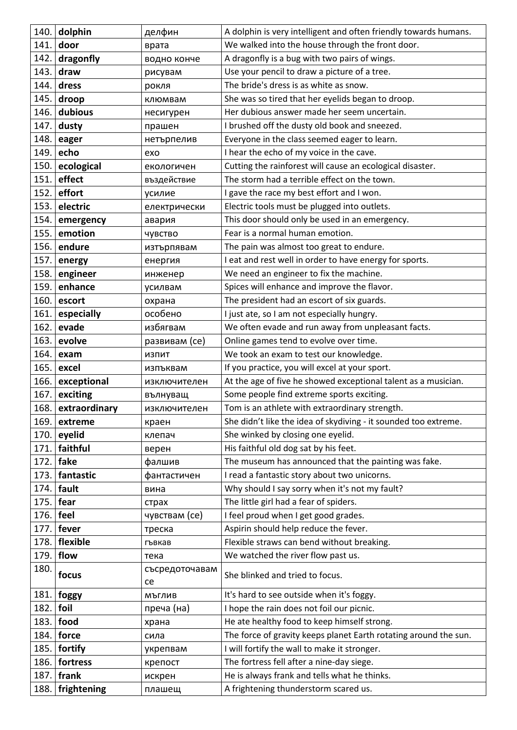| 140. | dolphin       | делфин         | A dolphin is very intelligent and often friendly towards humans. |
|------|---------------|----------------|------------------------------------------------------------------|
| 141. | door          | врата          | We walked into the house through the front door.                 |
| 142. | dragonfly     | водно конче    | A dragonfly is a bug with two pairs of wings.                    |
| 143. | draw          | рисувам        | Use your pencil to draw a picture of a tree.                     |
| 144. | dress         | рокля          | The bride's dress is as white as snow.                           |
| 145. | droop         | клюмвам        | She was so tired that her eyelids began to droop.                |
| 146. | dubious       | несигурен      | Her dubious answer made her seem uncertain.                      |
| 147. | dusty         | прашен         | I brushed off the dusty old book and sneezed.                    |
| 148. | eager         | нетърпелив     | Everyone in the class seemed eager to learn.                     |
| 149. | echo          | exo            | I hear the echo of my voice in the cave.                         |
| 150. | ecological    | екологичен     | Cutting the rainforest will cause an ecological disaster.        |
| 151. | effect        | въздействие    | The storm had a terrible effect on the town.                     |
| 152. | effort        | усилие         | I gave the race my best effort and I won.                        |
| 153. | electric      | електрически   | Electric tools must be plugged into outlets.                     |
| 154. | emergency     | авария         | This door should only be used in an emergency.                   |
| 155. | emotion       | чувство        | Fear is a normal human emotion.                                  |
| 156. | endure        | изтърпявам     | The pain was almost too great to endure.                         |
| 157. | energy        | енергия        | I eat and rest well in order to have energy for sports.          |
| 158. | engineer      | инженер        | We need an engineer to fix the machine.                          |
| 159. | enhance       | усилвам        | Spices will enhance and improve the flavor.                      |
| 160. | escort        | охрана         | The president had an escort of six guards.                       |
| 161. | especially    | особено        | I just ate, so I am not especially hungry.                       |
| 162. | evade         | избягвам       | We often evade and run away from unpleasant facts.               |
| 163. | evolve        | развивам (се)  | Online games tend to evolve over time.                           |
| 164. | exam          | ИЗПИТ          | We took an exam to test our knowledge.                           |
| 165. | excel         | изпъквам       | If you practice, you will excel at your sport.                   |
| 166. | exceptional   | изключителен   | At the age of five he showed exceptional talent as a musician.   |
| 167. | exciting      | вълнуващ       | Some people find extreme sports exciting.                        |
| 168. | extraordinary | изключителен   | Tom is an athlete with extraordinary strength.                   |
| 169. | extreme       | краен          | She didn't like the idea of skydiving - it sounded too extreme.  |
| 170. | eyelid        | клепач         | She winked by closing one eyelid.                                |
| 171. | faithful      | верен          | His faithful old dog sat by his feet.                            |
| 172. | fake          | фалшив         | The museum has announced that the painting was fake.             |
| 173. | fantastic     | фантастичен    | I read a fantastic story about two unicorns.                     |
| 174. | fault         | вина           | Why should I say sorry when it's not my fault?                   |
| 175. | fear          | страх          | The little girl had a fear of spiders.                           |
| 176. | feel          | чувствам (се)  | I feel proud when I get good grades.                             |
| 177. | fever         | треска         | Aspirin should help reduce the fever.                            |
| 178. | flexible      | гъвкав         | Flexible straws can bend without breaking.                       |
| 179. | flow          | тека           | We watched the river flow past us.                               |
| 180. | focus         | съсредоточавам | She blinked and tried to focus.                                  |
|      |               | ce             |                                                                  |
| 181. | foggy         | МЪГЛИВ         | It's hard to see outside when it's foggy.                        |
| 182. | foil          | преча (на)     | I hope the rain does not foil our picnic.                        |
| 183. | food          | храна          | He ate healthy food to keep himself strong.                      |
| 184. | force         | сила           | The force of gravity keeps planet Earth rotating around the sun. |
| 185. | fortify       | укрепвам       | I will fortify the wall to make it stronger.                     |
| 186. | fortress      | крепост        | The fortress fell after a nine-day siege.                        |
| 187. | frank         | искрен         | He is always frank and tells what he thinks.                     |
| 188. | frightening   | плашещ         | A frightening thunderstorm scared us.                            |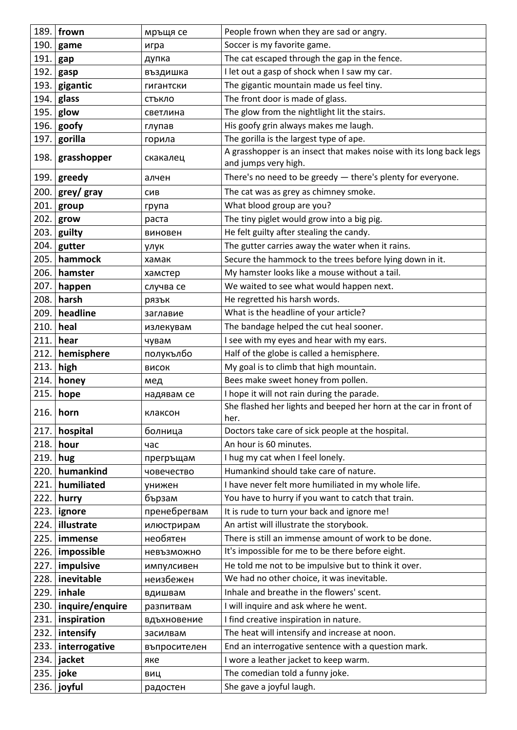|      | 189. frown      | мръщя се     | People frown when they are sad or angry.                                                    |
|------|-----------------|--------------|---------------------------------------------------------------------------------------------|
| 190. | game            | игра         | Soccer is my favorite game.                                                                 |
| 191. | gap             | дупка        | The cat escaped through the gap in the fence.                                               |
| 192. | gasp            | въздишка     | I let out a gasp of shock when I saw my car.                                                |
| 193. | gigantic        | гигантски    | The gigantic mountain made us feel tiny.                                                    |
| 194. | glass           | СТЪКЛО       | The front door is made of glass.                                                            |
| 195. | glow            | светлина     | The glow from the nightlight lit the stairs.                                                |
| 196. | goofy           | глупав       | His goofy grin always makes me laugh.                                                       |
| 197. | gorilla         | горила       | The gorilla is the largest type of ape.                                                     |
| 198. | grasshopper     | скакалец     | A grasshopper is an insect that makes noise with its long back legs<br>and jumps very high. |
| 199. | greedy          | алчен        | There's no need to be greedy - there's plenty for everyone.                                 |
| 200. | grey/ gray      | СИВ          | The cat was as grey as chimney smoke.                                                       |
| 201. | group           | група        | What blood group are you?                                                                   |
| 202. | grow            | раста        | The tiny piglet would grow into a big pig.                                                  |
| 203. | guilty          | виновен      | He felt guilty after stealing the candy.                                                    |
| 204. | gutter          | улук         | The gutter carries away the water when it rains.                                            |
| 205. | hammock         | хамак        | Secure the hammock to the trees before lying down in it.                                    |
| 206. | hamster         | хамстер      | My hamster looks like a mouse without a tail.                                               |
| 207. | happen          | случва се    | We waited to see what would happen next.                                                    |
| 208. | harsh           | рязък        | He regretted his harsh words.                                                               |
| 209. | headline        | заглавие     | What is the headline of your article?                                                       |
| 210. | heal            | излекувам    | The bandage helped the cut heal sooner.                                                     |
| 211. | hear            | чувам        | I see with my eyes and hear with my ears.                                                   |
| 212. | hemisphere      | полукълбо    | Half of the globe is called a hemisphere.                                                   |
| 213. | high            | ВИСОК        | My goal is to climb that high mountain.                                                     |
| 214. | honey           | мед          | Bees make sweet honey from pollen.                                                          |
| 215. | hope            | надявам се   | I hope it will not rain during the parade.                                                  |
|      | $216.$ horn     | клаксон      | She flashed her lights and beeped her horn at the car in front of<br>her.                   |
| 217. | hospital        | болница      | Doctors take care of sick people at the hospital.                                           |
| 218. | hour            | час          | An hour is 60 minutes.                                                                      |
| 219. | hug             | прегръщам    | I hug my cat when I feel lonely.                                                            |
| 220. | humankind       | човечество   | Humankind should take care of nature.                                                       |
| 221. | humiliated      | унижен       | I have never felt more humiliated in my whole life.                                         |
| 222. | hurry           | бързам       | You have to hurry if you want to catch that train.                                          |
| 223. | ignore          | пренебрегвам | It is rude to turn your back and ignore me!                                                 |
| 224. | illustrate      | илюстрирам   | An artist will illustrate the storybook.                                                    |
| 225. | immense         | необятен     | There is still an immense amount of work to be done.                                        |
| 226. | impossible      | невъзможно   | It's impossible for me to be there before eight.                                            |
| 227. | impulsive       | импулсивен   | He told me not to be impulsive but to think it over.                                        |
| 228. | inevitable      | неизбежен    | We had no other choice, it was inevitable.                                                  |
| 229. | inhale          | вдишвам      | Inhale and breathe in the flowers' scent.                                                   |
| 230. | inquire/enquire | разпитвам    | I will inquire and ask where he went.                                                       |
| 231. | inspiration     | вдъхновение  | I find creative inspiration in nature.                                                      |
| 232. | intensify       | засилвам     | The heat will intensify and increase at noon.                                               |
| 233. | interrogative   | въпросителен | End an interrogative sentence with a question mark.                                         |
| 234. | jacket          | яке          | I wore a leather jacket to keep warm.                                                       |
| 235. | joke            | ВИЦ          | The comedian told a funny joke.                                                             |
| 236. | joyful          | радостен     | She gave a joyful laugh.                                                                    |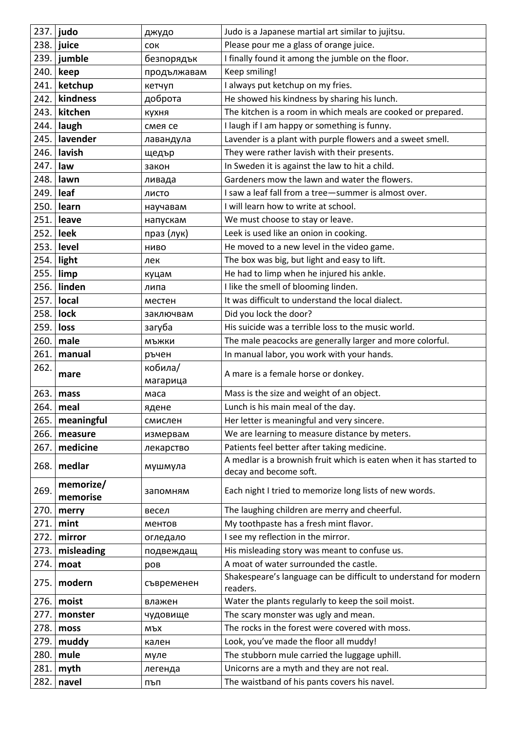|      | $237.$ judo   | джудо       | Judo is a Japanese martial art similar to jujitsu.                                           |
|------|---------------|-------------|----------------------------------------------------------------------------------------------|
| 238. | juice         | <b>COK</b>  | Please pour me a glass of orange juice.                                                      |
|      | $239.$ jumble | безпорядък  | I finally found it among the jumble on the floor.                                            |
| 240. | keep          | продължавам | Keep smiling!                                                                                |
| 241. | ketchup       | кетчуп      | I always put ketchup on my fries.                                                            |
| 242. | kindness      | доброта     | He showed his kindness by sharing his lunch.                                                 |
| 243. | kitchen       | кухня       | The kitchen is a room in which meals are cooked or prepared.                                 |
| 244. | laugh         | смея се     | I laugh if I am happy or something is funny.                                                 |
| 245. | lavender      | лавандула   | Lavender is a plant with purple flowers and a sweet smell.                                   |
| 246. | lavish        | щедър       | They were rather lavish with their presents.                                                 |
| 247. | law           | закон       | In Sweden it is against the law to hit a child.                                              |
| 248. | lawn          | ливада      | Gardeners mow the lawn and water the flowers.                                                |
| 249. | leaf          | ЛИСТО       | I saw a leaf fall from a tree-summer is almost over.                                         |
| 250. | learn         | научавам    | I will learn how to write at school.                                                         |
| 251. | leave         | напускам    | We must choose to stay or leave.                                                             |
| 252. | leek          | праз (лук)  | Leek is used like an onion in cooking.                                                       |
| 253. | level         | НИВО        | He moved to a new level in the video game.                                                   |
| 254. | light         | лек         | The box was big, but light and easy to lift.                                                 |
| 255. | limp          | куцам       | He had to limp when he injured his ankle.                                                    |
| 256. | linden        | липа        | I like the smell of blooming linden.                                                         |
| 257. | local         | местен      | It was difficult to understand the local dialect.                                            |
| 258. | lock          | заключвам   | Did you lock the door?                                                                       |
| 259. | loss          | загуба      | His suicide was a terrible loss to the music world.                                          |
| 260. | male          | МЪЖКИ       | The male peacocks are generally larger and more colorful.                                    |
| 261. | manual        | ръчен       | In manual labor, you work with your hands.                                                   |
| 262. | mare          | кобила/     | A mare is a female horse or donkey.                                                          |
|      |               | магарица    |                                                                                              |
| 263. | mass          | маса        | Mass is the size and weight of an object.                                                    |
|      | 264. meal     | ядене       | Lunch is his main meal of the day.                                                           |
| 265. | meaningful    | смислен     | Her letter is meaningful and very sincere.                                                   |
| 266. | measure       | измервам    | We are learning to measure distance by meters.                                               |
| 267. | medicine      | лекарство   | Patients feel better after taking medicine.                                                  |
| 268. | medlar        | мушмула     | A medlar is a brownish fruit which is eaten when it has started to<br>decay and become soft. |
| 269. | memorize/     |             | Each night I tried to memorize long lists of new words.                                      |
|      | memorise      | запомням    |                                                                                              |
| 270. | merry         | весел       | The laughing children are merry and cheerful.                                                |
| 271. | mint          | ментов      | My toothpaste has a fresh mint flavor.                                                       |
| 272. | mirror        | огледало    | I see my reflection in the mirror.                                                           |
| 273. | misleading    | подвеждащ   | His misleading story was meant to confuse us.                                                |
| 274. | moat          | poB         | A moat of water surrounded the castle.                                                       |
| 275. | modern        | съвременен  | Shakespeare's language can be difficult to understand for modern<br>readers.                 |
| 276. | moist         | влажен      | Water the plants regularly to keep the soil moist.                                           |
| 277. | monster       | чудовище    | The scary monster was ugly and mean.                                                         |
| 278. | moss          | МЪХ         | The rocks in the forest were covered with moss.                                              |
| 279. | muddy         | кален       | Look, you've made the floor all muddy!                                                       |
| 280. | mule          | муле        | The stubborn mule carried the luggage uphill.                                                |
| 281. | myth          | легенда     | Unicorns are a myth and they are not real.                                                   |
| 282. | navel         | пъп         | The waistband of his pants covers his navel.                                                 |
|      |               |             |                                                                                              |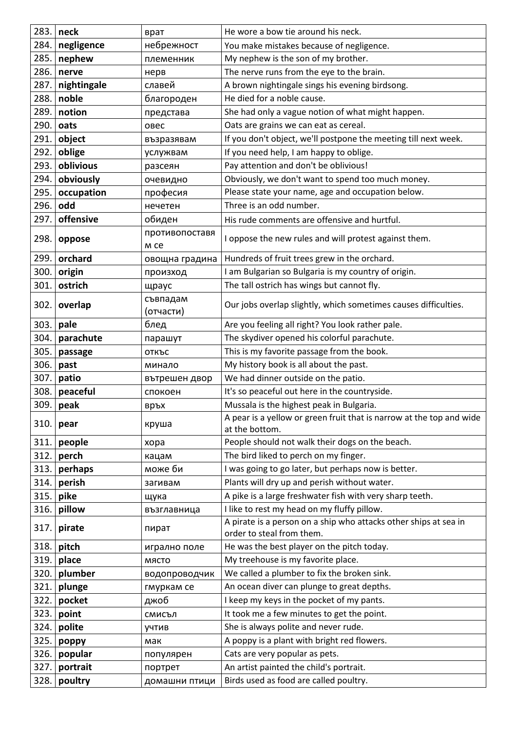| 283. | neck        | врат                   | He wore a bow tie around his neck.                                                            |
|------|-------------|------------------------|-----------------------------------------------------------------------------------------------|
| 284. | negligence  | небрежност             | You make mistakes because of negligence.                                                      |
| 285. | nephew      | племенник              | My nephew is the son of my brother.                                                           |
| 286. | nerve       | нерв                   | The nerve runs from the eye to the brain.                                                     |
| 287. | nightingale | славей                 | A brown nightingale sings his evening birdsong.                                               |
| 288. | noble       | благороден             | He died for a noble cause.                                                                    |
| 289. | notion      | представа              | She had only a vague notion of what might happen.                                             |
| 290. | oats        | овес                   | Oats are grains we can eat as cereal.                                                         |
| 291. | object      | възразявам             | If you don't object, we'll postpone the meeting till next week.                               |
| 292. | oblige      | услужвам               | If you need help, I am happy to oblige.                                                       |
| 293. | oblivious   | разсеян                | Pay attention and don't be oblivious!                                                         |
| 294. | obviously   | очевидно               | Obviously, we don't want to spend too much money.                                             |
| 295. | occupation  | професия               | Please state your name, age and occupation below.                                             |
| 296. | odd         | нечетен                | Three is an odd number.                                                                       |
| 297. | offensive   | обиден                 | His rude comments are offensive and hurtful.                                                  |
| 298. | oppose      | противопоставя<br>M Ce | I oppose the new rules and will protest against them.                                         |
| 299. | orchard     | овощна градина         | Hundreds of fruit trees grew in the orchard.                                                  |
| 300. | origin      | произход               | I am Bulgarian so Bulgaria is my country of origin.                                           |
| 301. | ostrich     | щраус                  | The tall ostrich has wings but cannot fly.                                                    |
|      |             | съвпадам               |                                                                                               |
| 302. | overlap     | (отчасти)              | Our jobs overlap slightly, which sometimes causes difficulties.                               |
| 303. | pale        | блед                   | Are you feeling all right? You look rather pale.                                              |
| 304. | parachute   | парашут                | The skydiver opened his colorful parachute.                                                   |
| 305. | passage     | ОТКЪС                  | This is my favorite passage from the book.                                                    |
| 306. | past        | минало                 | My history book is all about the past.                                                        |
| 307. | patio       | вътрешен двор          | We had dinner outside on the patio.                                                           |
| 308. | peaceful    | спокоен                | It's so peaceful out here in the countryside.                                                 |
| 309. | peak        | връх                   | Mussala is the highest peak in Bulgaria.                                                      |
| 310. | pear        | круша                  | A pear is a yellow or green fruit that is narrow at the top and wide<br>at the bottom.        |
| 311. | people      | xopa                   | People should not walk their dogs on the beach.                                               |
| 312. | perch       | кацам                  | The bird liked to perch on my finger.                                                         |
| 313. | perhaps     | може би                | I was going to go later, but perhaps now is better.                                           |
| 314. | perish      | загивам                | Plants will dry up and perish without water.                                                  |
| 315. | pike        | щука                   | A pike is a large freshwater fish with very sharp teeth.                                      |
| 316. | pillow      | възглавница            | I like to rest my head on my fluffy pillow.                                                   |
| 317. | pirate      | пират                  | A pirate is a person on a ship who attacks other ships at sea in<br>order to steal from them. |
| 318. | pitch       | игрално поле           | He was the best player on the pitch today.                                                    |
| 319. | place       | МЯСТО                  | My treehouse is my favorite place.                                                            |
| 320. | plumber     | водопроводчик          | We called a plumber to fix the broken sink.                                                   |
| 321. | plunge      | гмуркам се             | An ocean diver can plunge to great depths.                                                    |
| 322. | pocket      | джоб                   | I keep my keys in the pocket of my pants.                                                     |
| 323. | point       | смисъл                 | It took me a few minutes to get the point.                                                    |
| 324. | polite      | учтив                  | She is always polite and never rude.                                                          |
| 325. | poppy       | мак                    | A poppy is a plant with bright red flowers.                                                   |
| 326. | popular     | популярен              | Cats are very popular as pets.                                                                |
| 327. | portrait    | портрет                | An artist painted the child's portrait.                                                       |
| 328. | poultry     | домашни птици          | Birds used as food are called poultry.                                                        |
|      |             |                        |                                                                                               |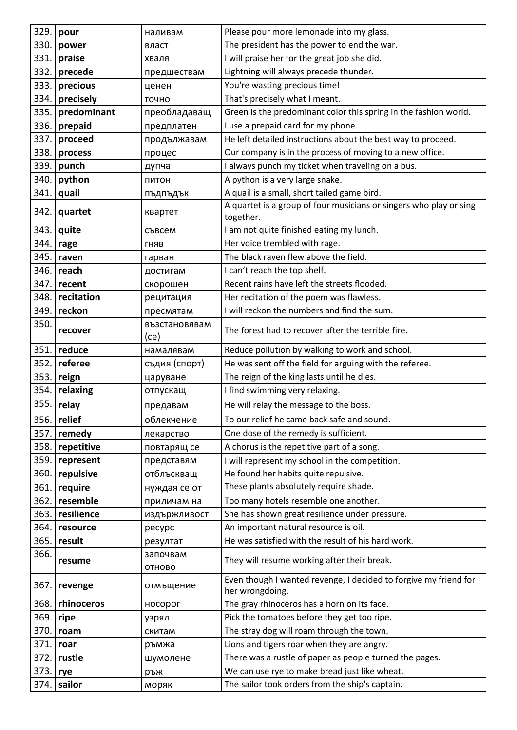| 329. | pour        | наливам               | Please pour more lemonade into my glass.                                            |
|------|-------------|-----------------------|-------------------------------------------------------------------------------------|
| 330. | power       | власт                 | The president has the power to end the war.                                         |
| 331. | praise      | хваля                 | I will praise her for the great job she did.                                        |
| 332. | precede     | предшествам           | Lightning will always precede thunder.                                              |
| 333. | precious    | ценен                 | You're wasting precious time!                                                       |
| 334. | precisely   | точно                 | That's precisely what I meant.                                                      |
| 335. | predominant | преобладаващ          | Green is the predominant color this spring in the fashion world.                    |
| 336. | prepaid     | предплатен            | I use a prepaid card for my phone.                                                  |
| 337. | proceed     | продължавам           | He left detailed instructions about the best way to proceed.                        |
| 338. | process     | процес                | Our company is in the process of moving to a new office.                            |
| 339. | punch       | дупча                 | I always punch my ticket when traveling on a bus.                                   |
| 340. | python      | ПИТОН                 | A python is a very large snake.                                                     |
| 341. | quail       | пъдпъдък              | A quail is a small, short tailed game bird.                                         |
| 342. | quartet     | квартет               | A quartet is a group of four musicians or singers who play or sing<br>together.     |
| 343. | quite       | съвсем                | I am not quite finished eating my lunch.                                            |
| 344. | rage        | ГНЯВ                  | Her voice trembled with rage.                                                       |
| 345. | raven       | гарван                | The black raven flew above the field.                                               |
| 346. | reach       | достигам              | I can't reach the top shelf.                                                        |
| 347. | recent      | скорошен              | Recent rains have left the streets flooded.                                         |
| 348. | recitation  | рецитация             | Her recitation of the poem was flawless.                                            |
| 349. | reckon      | пресмятам             | I will reckon the numbers and find the sum.                                         |
| 350. | recover     | възстановявам<br>(ce) | The forest had to recover after the terrible fire.                                  |
| 351. | reduce      | намалявам             | Reduce pollution by walking to work and school.                                     |
| 352. | referee     | съдия (спорт)         | He was sent off the field for arguing with the referee.                             |
| 353. | reign       | царуване              | The reign of the king lasts until he dies.                                          |
| 354. | relaxing    | отпускащ              | I find swimming very relaxing.                                                      |
| 355. | relay       | предавам              | He will relay the message to the boss.                                              |
| 356. | relief      | облекчение            | To our relief he came back safe and sound.                                          |
| 357. | remedy      | лекарство             | One dose of the remedy is sufficient.                                               |
| 358. | repetitive  | повтарящ се           | A chorus is the repetitive part of a song.                                          |
| 359. | represent   | представям            | I will represent my school in the competition.                                      |
| 360. | repulsive   | отблъскващ            | He found her habits quite repulsive.                                                |
| 361. | require     | нуждая се от          | These plants absolutely require shade.                                              |
| 362. | resemble    | приличам на           | Too many hotels resemble one another.                                               |
| 363. | resilience  | издържливост          | She has shown great resilience under pressure.                                      |
| 364. | resource    | pecypc                | An important natural resource is oil.                                               |
| 365. | result      | резултат              | He was satisfied with the result of his hard work.                                  |
| 366. | resume      | започвам<br>ОТНОВО    | They will resume working after their break.                                         |
| 367. | revenge     | отмъщение             | Even though I wanted revenge, I decided to forgive my friend for<br>her wrongdoing. |
| 368. | rhinoceros  | носорог               | The gray rhinoceros has a horn on its face.                                         |
| 369. | ripe        | узрял                 | Pick the tomatoes before they get too ripe.                                         |
| 370. | roam        | скитам                | The stray dog will roam through the town.                                           |
| 371. | roar        | ръмжа                 | Lions and tigers roar when they are angry.                                          |
| 372. | rustle      | шумолене              | There was a rustle of paper as people turned the pages.                             |
| 373. | rye         | ръж                   | We can use rye to make bread just like wheat.                                       |
| 374. | sailor      | моряк                 | The sailor took orders from the ship's captain.                                     |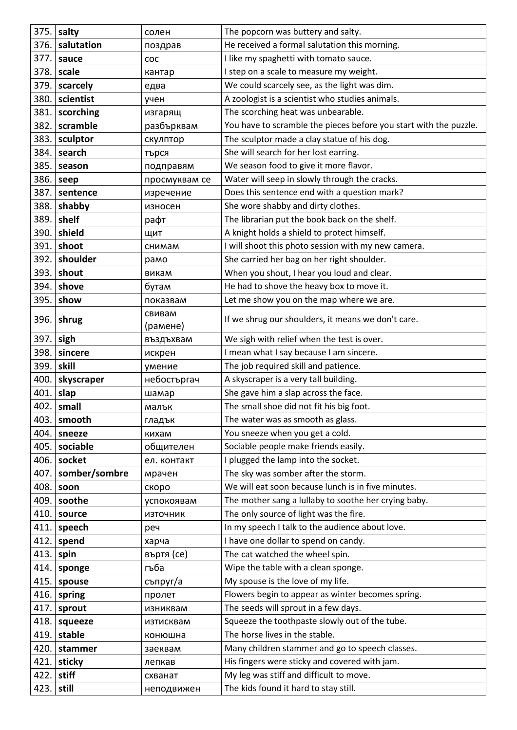| 375.         | salty                | солен              | The popcorn was buttery and salty.                                   |
|--------------|----------------------|--------------------|----------------------------------------------------------------------|
| 376.         | salutation           | поздрав            | He received a formal salutation this morning.                        |
| 377.         | sauce                | coc                | I like my spaghetti with tomato sauce.                               |
| 378.         | scale                | кантар             | I step on a scale to measure my weight.                              |
| 379.         | scarcely             | едва               | We could scarcely see, as the light was dim.                         |
| 380.         | scientist            | учен               | A zoologist is a scientist who studies animals.                      |
| 381.         | scorching            | изгарящ            | The scorching heat was unbearable.                                   |
| 382.         | scramble             | разбърквам         | You have to scramble the pieces before you start with the puzzle.    |
| 383.         | sculptor             | скулптор           | The sculptor made a clay statue of his dog.                          |
| 384.         | search               | търся              | She will search for her lost earring.                                |
| 385.         | season               | подправям          | We season food to give it more flavor.                               |
| 386.         | seep                 | просмуквам се      | Water will seep in slowly through the cracks.                        |
| 387.         | sentence             | изречение          | Does this sentence end with a question mark?                         |
| 388.         | shabby               | износен            | She wore shabby and dirty clothes.                                   |
| 389.         | shelf                | рафт               | The librarian put the book back on the shelf.                        |
| 390.         | shield               | ЩИТ                | A knight holds a shield to protect himself.                          |
| 391.         | shoot                | снимам             | I will shoot this photo session with my new camera.                  |
| 392.         | shoulder             | рамо               | She carried her bag on her right shoulder.                           |
| 393.         | shout                | викам              | When you shout, I hear you loud and clear.                           |
| 394.         | shove                | бутам              | He had to shove the heavy box to move it.                            |
| 395.         | show                 | показвам           | Let me show you on the map where we are.                             |
| 396.         | shrug                | свивам             | If we shrug our shoulders, it means we don't care.                   |
|              |                      | (рамене)           |                                                                      |
| 397.         | sigh                 | въздъхвам          | We sigh with relief when the test is over.                           |
| 398.         | sincere              | искрен             | I mean what I say because I am sincere.                              |
| 399.         | skill                | умение             | The job required skill and patience.                                 |
| 400.         | skyscraper           | небостъргач        | A skyscraper is a very tall building.                                |
| 401.         | slap<br>$402.$ small | шамар              | She gave him a slap across the face.                                 |
|              |                      | малък              | The small shoe did not fit his big foot.                             |
| 403.<br>404. | smooth               | гладък             | The water was as smooth as glass.<br>You sneeze when you get a cold. |
| 405.         | sneeze<br>sociable   | кихам<br>общителен | Sociable people make friends easily.                                 |
| 406.         | socket               | ел. контакт        | I plugged the lamp into the socket.                                  |
| 407.         | somber/sombre        | мрачен             | The sky was somber after the storm.                                  |
| 408.         | soon                 | скоро              | We will eat soon because lunch is in five minutes.                   |
| 409.         | soothe               | успокоявам         | The mother sang a lullaby to soothe her crying baby.                 |
| 410.         | source               | източник           | The only source of light was the fire.                               |
| 411.         | speech               | реч                | In my speech I talk to the audience about love.                      |
| 412.         | spend                | харча              | I have one dollar to spend on candy.                                 |
| 413.         | spin                 | въртя (се)         | The cat watched the wheel spin.                                      |
| 414.         | sponge               | гъба               | Wipe the table with a clean sponge.                                  |
| 415.         | spouse               | съпруг/а           | My spouse is the love of my life.                                    |
| 416.         | spring               | пролет             | Flowers begin to appear as winter becomes spring.                    |
| 417.         | sprout               | изниквам           | The seeds will sprout in a few days.                                 |
| 418.         | squeeze              | изтисквам          | Squeeze the toothpaste slowly out of the tube.                       |
| 419.         | stable               | конюшна            | The horse lives in the stable.                                       |
| 420.         | stammer              | заеквам            | Many children stammer and go to speech classes.                      |
| 421.         | sticky               | лепкав             | His fingers were sticky and covered with jam.                        |
| 422.         | stiff                | схванат            | My leg was stiff and difficult to move.                              |
| 423.         | still                | неподвижен         | The kids found it hard to stay still.                                |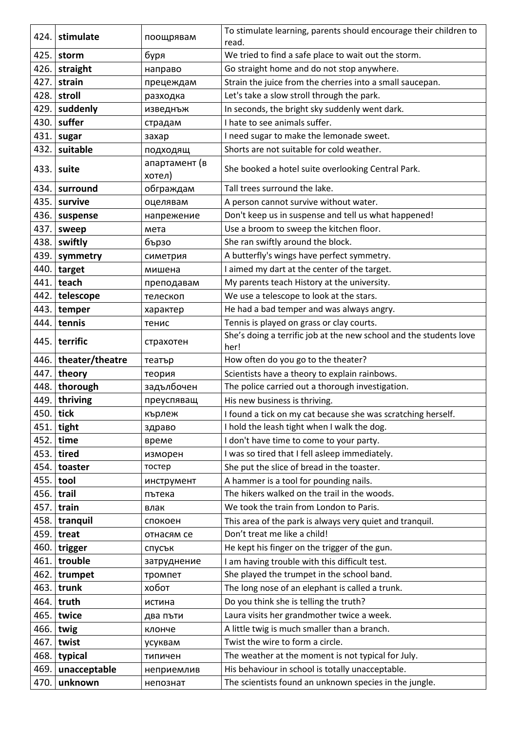| 424.         | stimulate         | поощрявам               | To stimulate learning, parents should encourage their children to<br>read.               |
|--------------|-------------------|-------------------------|------------------------------------------------------------------------------------------|
| 425.         | storm             | буря                    | We tried to find a safe place to wait out the storm.                                     |
| 426.         | straight          | направо                 | Go straight home and do not stop anywhere.                                               |
| 427.         | strain            | прецеждам               | Strain the juice from the cherries into a small saucepan.                                |
| 428.         | stroll            | разходка                | Let's take a slow stroll through the park.                                               |
| 429.         | suddenly          | изведнъж                | In seconds, the bright sky suddenly went dark.                                           |
| 430.         | suffer            | страдам                 | I hate to see animals suffer.                                                            |
| 431.         | sugar             | захар                   | I need sugar to make the lemonade sweet.                                                 |
| 432.         | suitable          | подходящ                | Shorts are not suitable for cold weather.                                                |
| 433.         | suite             | апартамент (в<br>хотел) | She booked a hotel suite overlooking Central Park.                                       |
| 434.         | surround          | обграждам               | Tall trees surround the lake.                                                            |
| 435.         | survive           | оцелявам                | A person cannot survive without water.                                                   |
| 436.         | suspense          | напрежение              | Don't keep us in suspense and tell us what happened!                                     |
| 437.         | sweep             | мета                    | Use a broom to sweep the kitchen floor.                                                  |
| 438.         | swiftly           | бързо                   | She ran swiftly around the block.                                                        |
| 439.         | symmetry          | симетрия                | A butterfly's wings have perfect symmetry.                                               |
| 440.         | target            | мишена                  | I aimed my dart at the center of the target.                                             |
| 441.         | teach             | преподавам              | My parents teach History at the university.                                              |
| 442.         | telescope         | телескоп                | We use a telescope to look at the stars.                                                 |
| 443.         | temper            | характер                | He had a bad temper and was always angry.                                                |
| 444.         | tennis            | тенис                   | Tennis is played on grass or clay courts.                                                |
| 445.         | terrific          | страхотен               | She's doing a terrific job at the new school and the students love<br>her!               |
| 446.         | theater/theatre   | театър                  | How often do you go to the theater?                                                      |
| 447.         | theory            | теория                  | Scientists have a theory to explain rainbows.                                            |
|              | 448. thorough     | задълбочен              | The police carried out a thorough investigation.                                         |
| 449.         | thriving          | преуспяващ              | His new business is thriving.                                                            |
|              | 450. tick         | кърлеж                  | I found a tick on my cat because she was scratching herself.                             |
| 451.         | tight             | здраво                  | I hold the leash tight when I walk the dog.                                              |
| 452.         | time              | време                   | I don't have time to come to your party.                                                 |
| 453.         | tired             | изморен                 | I was so tired that I fell asleep immediately.                                           |
| 454.         | toaster           | тостер                  | She put the slice of bread in the toaster.                                               |
| 455.         | tool              | инструмент              | A hammer is a tool for pounding nails.                                                   |
| 456.         | trail             | пътека                  | The hikers walked on the trail in the woods.<br>We took the train from London to Paris.  |
| 457.<br>458. | train<br>tranquil | влак                    |                                                                                          |
| 459.         | treat             | спокоен                 | This area of the park is always very quiet and tranquil.<br>Don't treat me like a child! |
| 460.         | trigger           | отнасям се              | He kept his finger on the trigger of the gun.                                            |
| 461.         | trouble           | спусък                  | I am having trouble with this difficult test.                                            |
| 462.         | trumpet           | затруднение<br>тромпет  | She played the trumpet in the school band.                                               |
| 463.         | trunk             | хобот                   | The long nose of an elephant is called a trunk.                                          |
| 464.         | truth             | истина                  | Do you think she is telling the truth?                                                   |
| 465.         | twice             | два пъти                | Laura visits her grandmother twice a week.                                               |
| 466.         | twig              | клонче                  | A little twig is much smaller than a branch.                                             |
| 467.         | twist             | усуквам                 | Twist the wire to form a circle.                                                         |
| 468.         | typical           | типичен                 | The weather at the moment is not typical for July.                                       |
| 469.         | unacceptable      | неприемлив              | His behaviour in school is totally unacceptable.                                         |
| 470.         | unknown           | непознат                | The scientists found an unknown species in the jungle.                                   |
|              |                   |                         |                                                                                          |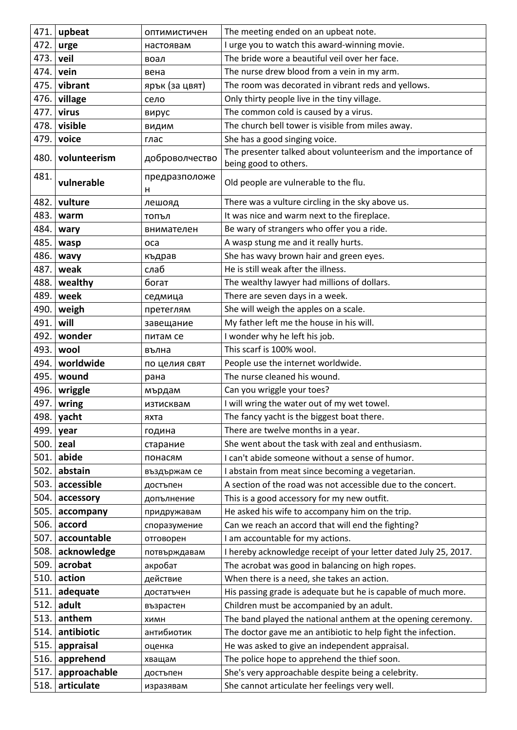| 471.         | upbeat                     | <b>ОПТИМИСТИЧЕН</b> | The meeting ended on an upbeat note.                                                                |
|--------------|----------------------------|---------------------|-----------------------------------------------------------------------------------------------------|
| 472.         | urge                       | настоявам           | I urge you to watch this award-winning movie.                                                       |
| 473.         | veil                       | воал                | The bride wore a beautiful veil over her face.                                                      |
| 474.         | vein                       | вена                | The nurse drew blood from a vein in my arm.                                                         |
| 475.         | vibrant                    | ярък (за цвят)      | The room was decorated in vibrant reds and yellows.                                                 |
| 476.         | village                    | село                | Only thirty people live in the tiny village.                                                        |
| 477.         | virus                      | вирус               | The common cold is caused by a virus.                                                               |
| 478.         | visible                    | ВИДИМ               | The church bell tower is visible from miles away.                                                   |
| 479.         | voice                      | глас                | She has a good singing voice.                                                                       |
| 480.         | volunteerism               | доброволчество      | The presenter talked about volunteerism and the importance of<br>being good to others.              |
| 481.         | vulnerable                 | предразположе<br>н  | Old people are vulnerable to the flu.                                                               |
| 482.         | vulture                    | лешояд              | There was a vulture circling in the sky above us.                                                   |
| 483.         | warm                       | топъл               | It was nice and warm next to the fireplace.                                                         |
| 484.         | wary                       | внимателен          | Be wary of strangers who offer you a ride.                                                          |
| 485.         | wasp                       | оса                 | A wasp stung me and it really hurts.                                                                |
| 486.         | wavy                       | къдрав              | She has wavy brown hair and green eyes.                                                             |
| 487.         | weak                       | слаб                | He is still weak after the illness.                                                                 |
| 488.         | wealthy                    | богат               | The wealthy lawyer had millions of dollars.                                                         |
| 489.         | week                       | седмица             | There are seven days in a week.                                                                     |
| 490.         | weigh                      | претеглям           | She will weigh the apples on a scale.                                                               |
| 491.         | will                       | завещание           | My father left me the house in his will.                                                            |
| 492.         | wonder                     | питам се            | I wonder why he left his job.                                                                       |
| 493.         | wool                       | вълна               | This scarf is 100% wool.                                                                            |
|              |                            |                     |                                                                                                     |
| 494.         | worldwide                  | по целия свят       | People use the internet worldwide.                                                                  |
| 495.         | wound                      | рана                | The nurse cleaned his wound.                                                                        |
| 496.         | wriggle                    | мърдам              | Can you wriggle your toes?                                                                          |
| 497.         | wring                      | изтисквам           | I will wring the water out of my wet towel.                                                         |
| 498.         | yacht                      | яхта                | The fancy yacht is the biggest boat there.                                                          |
| 499.         | year                       | година              | There are twelve months in a year.                                                                  |
| 500.         | zeal                       | старание            | She went about the task with zeal and enthusiasm.                                                   |
| 501.         | abide                      | понасям             | I can't abide someone without a sense of humor.                                                     |
| 502.         | abstain                    | въздържам се        | I abstain from meat since becoming a vegetarian.                                                    |
| 503.         | accessible                 | достъпен            | A section of the road was not accessible due to the concert.                                        |
| 504.         | accessory                  | допълнение          | This is a good accessory for my new outfit.                                                         |
| 505.         | accompany                  | придружавам         | He asked his wife to accompany him on the trip.                                                     |
| 506.         | accord                     | споразумение        | Can we reach an accord that will end the fighting?                                                  |
| 507.         | accountable                | отговорен           | I am accountable for my actions.                                                                    |
| 508.         | acknowledge                | потвърждавам        | I hereby acknowledge receipt of your letter dated July 25, 2017.                                    |
| 509.         | acrobat                    | акробат             | The acrobat was good in balancing on high ropes.                                                    |
| 510.         | action                     | действие            | When there is a need, she takes an action.                                                          |
| 511.         | adequate                   | достатъчен          | His passing grade is adequate but he is capable of much more.                                       |
| 512.         | adult                      | възрастен           | Children must be accompanied by an adult.                                                           |
| 513.         | anthem                     | ХИМН                | The band played the national anthem at the opening ceremony.                                        |
| 514.         | antibiotic                 | антибиотик          | The doctor gave me an antibiotic to help fight the infection.                                       |
| 515.         | appraisal                  | оценка              | He was asked to give an independent appraisal.                                                      |
| 516.         | apprehend                  | хващам              | The police hope to apprehend the thief soon.                                                        |
| 517.<br>518. | approachable<br>articulate | достъпен            | She's very approachable despite being a celebrity.<br>She cannot articulate her feelings very well. |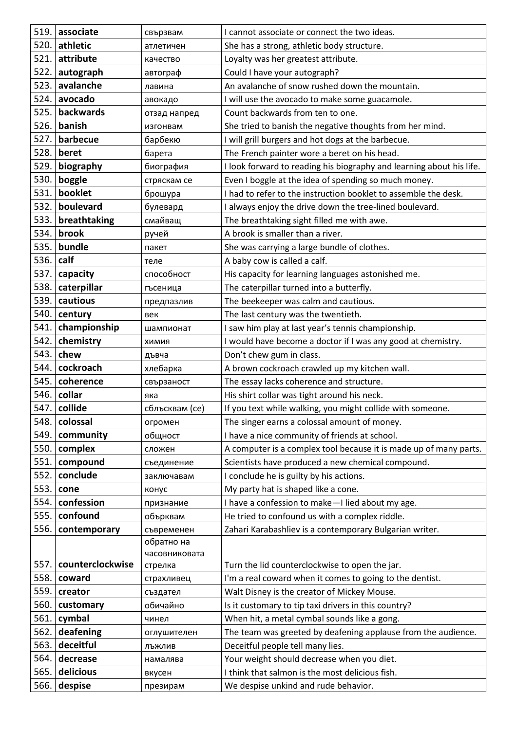| 519. | associate        | свързвам               | I cannot associate or connect the two ideas.                         |
|------|------------------|------------------------|----------------------------------------------------------------------|
| 520. | athletic         | атлетичен              | She has a strong, athletic body structure.                           |
| 521. | attribute        | качество               | Loyalty was her greatest attribute.                                  |
| 522. | autograph        | автограф               | Could I have your autograph?                                         |
| 523. | avalanche        | лавина                 | An avalanche of snow rushed down the mountain.                       |
| 524. | avocado          | авокадо                | I will use the avocado to make some guacamole.                       |
| 525. | backwards        | отзад напред           | Count backwards from ten to one.                                     |
| 526. | banish           | изгонвам               | She tried to banish the negative thoughts from her mind.             |
| 527. | barbecue         | барбекю                | I will grill burgers and hot dogs at the barbecue.                   |
| 528. | beret            | барета                 | The French painter wore a beret on his head.                         |
| 529. | biography        | биография              | I look forward to reading his biography and learning about his life. |
| 530. | boggle           | стряскам се            | Even I boggle at the idea of spending so much money.                 |
| 531. | booklet          | брошура                | I had to refer to the instruction booklet to assemble the desk.      |
| 532. | boulevard        | булевард               | I always enjoy the drive down the tree-lined boulevard.              |
| 533. | breathtaking     | смайващ                | The breathtaking sight filled me with awe.                           |
| 534. | brook            | ручей                  | A brook is smaller than a river.                                     |
| 535. | bundle           | пакет                  | She was carrying a large bundle of clothes.                          |
| 536. | calf             | теле                   | A baby cow is called a calf.                                         |
| 537. | capacity         | способност             | His capacity for learning languages astonished me.                   |
| 538. | caterpillar      | гъсеница               | The caterpillar turned into a butterfly.                             |
| 539. | cautious         | предпазлив             | The beekeeper was calm and cautious.                                 |
| 540. | century          | век                    | The last century was the twentieth.                                  |
| 541. | championship     | шампионат              | I saw him play at last year's tennis championship.                   |
| 542. | chemistry        | <b>КИМИЯ</b>           | I would have become a doctor if I was any good at chemistry.         |
| 543. | chew             | дъвча                  | Don't chew gum in class.                                             |
| 544. | cockroach        | хлебарка               | A brown cockroach crawled up my kitchen wall.                        |
| 545. | coherence        | свързаност             | The essay lacks coherence and structure.                             |
| 546. | collar           | яка                    | His shirt collar was tight around his neck.                          |
| 547. | collide          | сблъсквам (се)         | If you text while walking, you might collide with someone.           |
| 548. | colossal         | огромен                | The singer earns a colossal amount of money.                         |
| 549. | community        | общност                | I have a nice community of friends at school.                        |
| 550. | complex          | сложен                 | A computer is a complex tool because it is made up of many parts.    |
| 551. | compound         | съединение             | Scientists have produced a new chemical compound.                    |
| 552. | conclude         | заключавам             | I conclude he is guilty by his actions.                              |
| 553. | cone             | конус                  | My party hat is shaped like a cone.                                  |
| 554. | confession       | признание              | I have a confession to make-I lied about my age.                     |
| 555. | confound         | обърквам               | He tried to confound us with a complex riddle.                       |
| 556. | contemporary     | съвременен             | Zahari Karabashliev is a contemporary Bulgarian writer.              |
|      |                  | обратно на             |                                                                      |
| 557. | counterclockwise | часовниковата          | Turn the lid counterclockwise to open the jar.                       |
| 558. | coward           | стрелка                | I'm a real coward when it comes to going to the dentist.             |
| 559. | creator          | страхливец<br>създател | Walt Disney is the creator of Mickey Mouse.                          |
| 560. | customary        | обичайно               | Is it customary to tip taxi drivers in this country?                 |
| 561. | cymbal           | чинел                  | When hit, a metal cymbal sounds like a gong.                         |
| 562. | deafening        | оглушителен            | The team was greeted by deafening applause from the audience.        |
| 563. | deceitful        | лъжлив                 | Deceitful people tell many lies.                                     |
| 564. | decrease         | намалява               | Your weight should decrease when you diet.                           |
| 565. | delicious        | вкусен                 | I think that salmon is the most delicious fish.                      |
| 566. | despise          | презирам               | We despise unkind and rude behavior.                                 |
|      |                  |                        |                                                                      |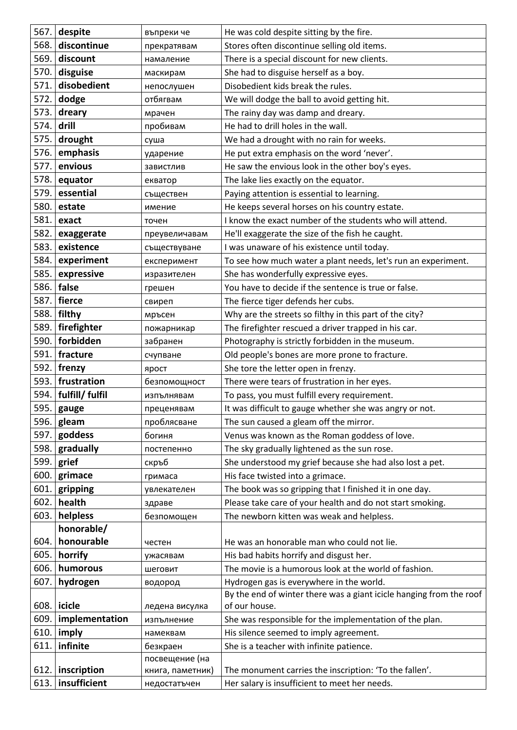| 567.         | despite                | въпреки че       | He was cold despite sitting by the fire.                                                                        |
|--------------|------------------------|------------------|-----------------------------------------------------------------------------------------------------------------|
| 568.         | discontinue            | прекратявам      | Stores often discontinue selling old items.                                                                     |
| 569.         | discount               | намаление        | There is a special discount for new clients.                                                                    |
| 570.         | disguise               | маскирам         | She had to disguise herself as a boy.                                                                           |
| 571.         | disobedient            | непослушен       | Disobedient kids break the rules.                                                                               |
| 572.         | dodge                  | отбягвам         | We will dodge the ball to avoid getting hit.                                                                    |
| 573.         | dreary                 | мрачен           | The rainy day was damp and dreary.                                                                              |
| 574.         | drill                  | пробивам         | He had to drill holes in the wall.                                                                              |
| 575.         | drought                | суша             | We had a drought with no rain for weeks.                                                                        |
| 576.         | emphasis               | ударение         | He put extra emphasis on the word 'never'.                                                                      |
| 577.         | envious                | завистлив        | He saw the envious look in the other boy's eyes.                                                                |
| 578.         | equator                | екватор          | The lake lies exactly on the equator.                                                                           |
| 579.         | essential              | съществен        | Paying attention is essential to learning.                                                                      |
| 580.         | estate                 | имение           | He keeps several horses on his country estate.                                                                  |
| 581.         | exact                  | точен            | I know the exact number of the students who will attend.                                                        |
| 582.         | exaggerate             | преувеличавам    | He'll exaggerate the size of the fish he caught.                                                                |
| 583.         | existence              | съществуване     | I was unaware of his existence until today.                                                                     |
| 584.         | experiment             | експеримент      | To see how much water a plant needs, let's run an experiment.                                                   |
| 585.         | expressive             | изразителен      | She has wonderfully expressive eyes.                                                                            |
| 586.         | false                  | грешен           | You have to decide if the sentence is true or false.                                                            |
| 587.         | fierce                 | свиреп           | The fierce tiger defends her cubs.                                                                              |
| 588.         | filthy                 | мръсен           | Why are the streets so filthy in this part of the city?                                                         |
| 589.         | firefighter            | пожарникар       | The firefighter rescued a driver trapped in his car.                                                            |
| 590.         | forbidden              | забранен         | Photography is strictly forbidden in the museum.                                                                |
| 591.         | fracture               | счупване         | Old people's bones are more prone to fracture.                                                                  |
| 592.         | frenzy                 | ярост            | She tore the letter open in frenzy.                                                                             |
|              | 593. frustration       | безпомощност     | There were tears of frustration in her eyes.                                                                    |
|              | 594.   fulfill/ fulfil | изпълнявам       | To pass, you must fulfill every requirement.                                                                    |
|              | 595. gauge             | преценявам       | It was difficult to gauge whether she was angry or not.                                                         |
| 596.         | gleam                  | проблясване      | The sun caused a gleam off the mirror.                                                                          |
| 597.         | goddess                | богиня           | Venus was known as the Roman goddess of love.                                                                   |
| 598.         | gradually              | постепенно       | The sky gradually lightened as the sun rose.                                                                    |
| 599.         | grief                  | скръб            | She understood my grief because she had also lost a pet.                                                        |
| 600.         | grimace                | гримаса          | His face twisted into a grimace.                                                                                |
| 601.         | gripping               | увлекателен      | The book was so gripping that I finished it in one day.                                                         |
| 602.         | health                 | здраве           | Please take care of your health and do not start smoking.                                                       |
| 603.         | helpless               | безпомощен       | The newborn kitten was weak and helpless.                                                                       |
|              | honorable/             |                  |                                                                                                                 |
| 604.         | honourable             | честен           | He was an honorable man who could not lie.                                                                      |
| 605.<br>606. | horrify<br>humorous    | ужасявам         | His bad habits horrify and disgust her.<br>The movie is a humorous look at the world of fashion.                |
| 607.         |                        | шеговит          |                                                                                                                 |
|              | hydrogen               | водород          | Hydrogen gas is everywhere in the world.<br>By the end of winter there was a giant icicle hanging from the roof |
| 608.         | icicle                 | ледена висулка   | of our house.                                                                                                   |
| 609.         | implementation         | изпълнение       | She was responsible for the implementation of the plan.                                                         |
| 610.         | imply                  | намеквам         | His silence seemed to imply agreement.                                                                          |
| 611.         | infinite               | безкраен         | She is a teacher with infinite patience.                                                                        |
|              |                        | посвещение (на   |                                                                                                                 |
| 612.         | inscription            | книга, паметник) | The monument carries the inscription: 'To the fallen'.                                                          |
| 613.         | insufficient           | недостатъчен     | Her salary is insufficient to meet her needs.                                                                   |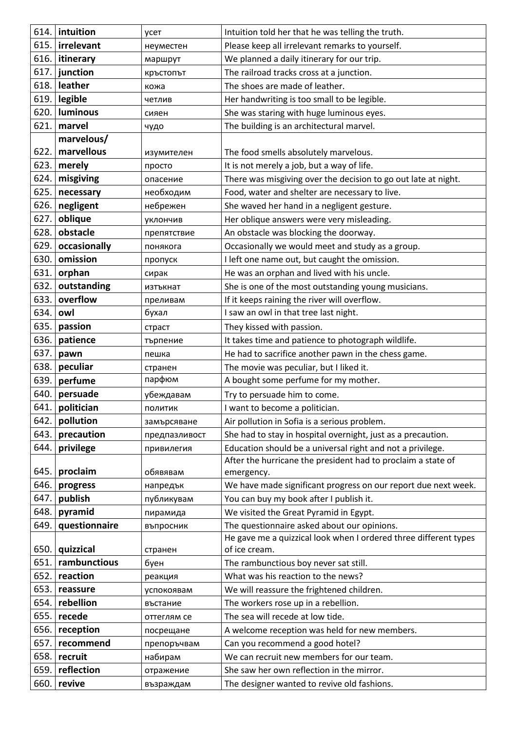|      | 614. intuition | усет          | Intuition told her that he was telling the truth.                |
|------|----------------|---------------|------------------------------------------------------------------|
| 615. | irrelevant     | неуместен     | Please keep all irrelevant remarks to yourself.                  |
| 616. | itinerary      | маршрут       | We planned a daily itinerary for our trip.                       |
| 617. | junction       | кръстопът     | The railroad tracks cross at a junction.                         |
| 618. | leather        | кожа          | The shoes are made of leather.                                   |
| 619. | legible        | четлив        | Her handwriting is too small to be legible.                      |
| 620. | luminous       | сияен         | She was staring with huge luminous eyes.                         |
| 621. | marvel         | чудо          | The building is an architectural marvel.                         |
|      | marvelous/     |               |                                                                  |
| 622. | marvellous     | изумителен    | The food smells absolutely marvelous.                            |
| 623. | merely         | просто        | It is not merely a job, but a way of life.                       |
| 624. | misgiving      | опасение      | There was misgiving over the decision to go out late at night.   |
| 625. | necessary      | необходим     | Food, water and shelter are necessary to live.                   |
| 626. | negligent      | небрежен      | She waved her hand in a negligent gesture.                       |
| 627. | oblique        | уклончив      | Her oblique answers were very misleading.                        |
| 628. | obstacle       | препятствие   | An obstacle was blocking the doorway.                            |
| 629. | occasionally   | понякога      | Occasionally we would meet and study as a group.                 |
| 630. | omission       | пропуск       | I left one name out, but caught the omission.                    |
| 631. | orphan         | сирак         | He was an orphan and lived with his uncle.                       |
| 632. | outstanding    | изтъкнат      | She is one of the most outstanding young musicians.              |
| 633. | overflow       | преливам      | If it keeps raining the river will overflow.                     |
| 634. | owl            | бухал         | I saw an owl in that tree last night.                            |
| 635. | passion        | страст        | They kissed with passion.                                        |
| 636. | patience       | търпение      | It takes time and patience to photograph wildlife.               |
| 637. | pawn           | пешка         | He had to sacrifice another pawn in the chess game.              |
| 638. | peculiar       | странен       | The movie was peculiar, but I liked it.                          |
| 639. | perfume        | парфюм        | A bought some perfume for my mother.                             |
| 640. | persuade       | убеждавам     | Try to persuade him to come.                                     |
| 641. | politician     | ПОЛИТИК       | I want to become a politician.                                   |
| 642. | pollution      | замърсяване   | Air pollution in Sofia is a serious problem.                     |
| 643. | precaution     | предпазливост | She had to stay in hospital overnight, just as a precaution.     |
| 644. | privilege      | привилегия    | Education should be a universal right and not a privilege.       |
|      |                |               | After the hurricane the president had to proclaim a state of     |
| 645. | proclaim       | обявявам      | emergency.                                                       |
| 646. | progress       | напредък      | We have made significant progress on our report due next week.   |
| 647. | publish        | публикувам    | You can buy my book after I publish it.                          |
| 648. | pyramid        | пирамида      | We visited the Great Pyramid in Egypt.                           |
| 649. | questionnaire  | въпросник     | The questionnaire asked about our opinions.                      |
|      |                |               | He gave me a quizzical look when I ordered three different types |
| 650. | quizzical      | странен       | of ice cream.                                                    |
| 651. | rambunctious   | буен          | The rambunctious boy never sat still.                            |
| 652. | reaction       | реакция       | What was his reaction to the news?                               |
| 653. | reassure       | успокоявам    | We will reassure the frightened children.                        |
| 654. | rebellion      | въстание      | The workers rose up in a rebellion.                              |
| 655. | recede         | оттеглям се   | The sea will recede at low tide.                                 |
| 656. | reception      | посрещане     | A welcome reception was held for new members.                    |
| 657. | recommend      | препоръчвам   | Can you recommend a good hotel?                                  |
| 658. | recruit        | набирам       | We can recruit new members for our team.                         |
| 659. | reflection     | отражение     | She saw her own reflection in the mirror.                        |
| 660. | revive         | възраждам     | The designer wanted to revive old fashions.                      |